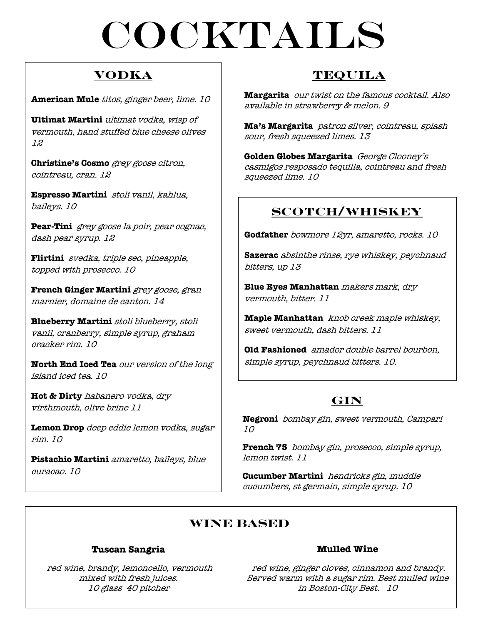# cocktails

## **Vodka**

**American Mule** titos, ginger beer, lime. 10

**Ultimat Martini** ultimat vodka, wisp of vermouth, hand stuffed blue cheese olives 12

**Christine's Cosmo** grey goose citron, cointreau, cran. 12

**Espresso Martini** stoli vanil, kahlua, baileys. 10

**Pear-Tini** grey goose la poir, pear cognac, dash pear syrup. 12

**Flirtini** svedka, triple sec, pineapple, topped with prosecco. 10

**French Ginger Martini** grey goose, gran marnier, domaine de canton. 14

**Blueberry Martini** stoli blueberry, stoli vanil, cranberry, simple syrup, graham cracker rim. 10

**North End Iced Tea** our version of the long island iced tea. 10

**Hot & Dirty** habanero vodka, dry virthmouth, olive brine 11

**Lemon Drop** deep eddie lemon vodka, sugar rim. 10

**Pistachio Martini** amaretto, baileys, blue curacao. 10

## **Tequila**

**Margarita** our twist on the famous cocktail. Also available in strawberry & melon. 9

**Ma's Margarita** patron silver, cointreau, splash sour, fresh squeezed limes. 13

**Golden Globes Margarita** George Clooney's casmigos resposado tequilla, cointreau and fresh squeezed lime. 10

## **Scotch/Whiskey**

**Godfather** bowmore 12yr, amaretto, rocks. 10

**Sazerac** absinthe rinse, rye whiskey, peychnaud bitters, up 13

**Blue Eyes Manhattan** makers mark, dry vermouth, bitter. 11

**Maple Manhattan** knob creek maple whiskey, sweet vermouth, dash bitters. 11

**Old Fashioned** amador double barrel bourbon, simple syrup, peychnaud bitters. 10.

## **GIN**

**Negroni** bombay gin, sweet vermouth, Campari 10

**French 75** bombay gin, prosecco, simple syrup, lemon twist. 11

**Cucumber Martini** hendricks gin, muddle cucumbers, st germain, simple syrup. 10

## **Wine Based**

#### **Tuscan Sangria**

red wine, brandy, lemoncello, vermouth mixed with fresh juices. 10 glass 40 pitcher

#### **Mulled Wine**

red wine, ginger cloves, cinnamon and brandy. Served warm with a sugar rim. Best mulled wine in Boston-City Best. 10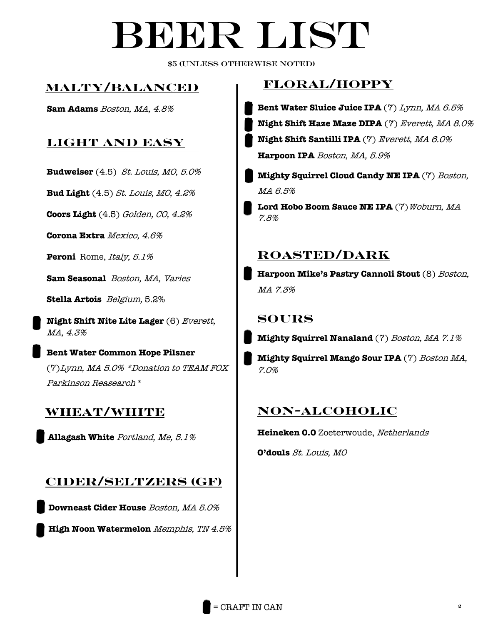# BEER LIST

\$5 (unless otherwise noted)

## **Malty/Balanced**

## **Light and easy**

**Budweiser** (4.5) St. Louis, MO, 5.0%

**Bud Light** (4.5) St. Louis, MO, 4.2%

**Coors Light** (4.5) Golden, CO, 4.2%

**Corona Extra** Mexico, 4.6%

Peroni Rome, Italy, 5.1%

**Sam Seasonal** Boston, MA, Varies

**Stella Artois** Belgium, 5.2%

**Night Shift Nite Lite Lager** (6) *Everett,* MA, 4.3%

**Bent Water Common Hope Pilsner**  (7)Lynn, MA 5.0% \*Donation to TEAM FOX Parkinson Reasearch\* **ed**

## **Wheat/White**

**Allagash White** Portland, Me, 5.1%

## **Cider/Seltzers (GF)**

**Downeast Cider House** Boston, MA 5.0%

**High Noon Watermelon** Memphis, TN 4.5%

## **Floral/Hoppy**

- **Sam Adams** Boston, MA, 4.8% **Bent Water Sluice Juice IPA** (7) Lynn, MA 6.5% **Night Shift Haze Maze DIPA** (7) Everett, MA 8.0% **Night Shift Santilli IPA** (7) Everett, MA 6.0% **Harpoon IPA** Boston, MA, 5.9%
	- **Mighty Squirrel Cloud Candy NE IPA** (7) Boston, MA 6.5%

Lord Hobo Boom Sauce NE IPA<sup>(7)</sup>Woburn, MA 7.8%

## **Roasted/Dark**

**Harpoon Mike's Pastry Cannoli Stout** (8) Boston, MA 7.3%

#### **SOURs**

**Mighty Squirrel Nanaland** (7) Boston, MA 7.1%

**Mighty Squirrel Mango Sour IPA** (7) Boston MA, 7.0%

## **NON-ALcoholic**

**Heineken 0.0** Zoeterwoude, Netherlands

**O'douls** St. Louis, MO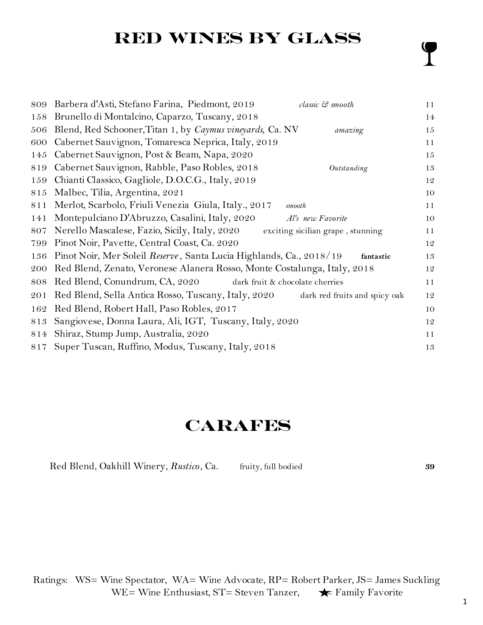# **RED WINES BY GLASS**

| 809 | Barbera d'Asti, Stefano Farina, Piedmont, 2019<br>classic & smooth                   | 11 |
|-----|--------------------------------------------------------------------------------------|----|
| 158 | Brunello di Montalcino, Caparzo, Tuscany, 2018                                       | 14 |
| 506 | Blend, Red Schooner, Titan 1, by Caymus vineyards, Ca. NV<br>amazing                 | 15 |
| 600 | Cabernet Sauvignon, Tomaresca Neprica, Italy, 2019                                   | 11 |
| 145 | Cabernet Sauvignon, Post & Beam, Napa, 2020                                          | 15 |
| 819 | Cabernet Sauvignon, Rabble, Paso Robles, 2018<br>Outstanding                         | 13 |
| 159 | Chianti Classico, Gagliole, D.O.C.G., Italy, 2019                                    | 12 |
| 815 | Malbec, Tilia, Argentina, 2021                                                       | 10 |
| 811 | Merlot, Scarbolo, Friuli Venezia Giula, Italy., 2017<br>smooth                       | 11 |
| 141 | Montepulciano D'Abruzzo, Casalini, Italy, 2020<br>Al's new Favorite                  | 10 |
| 807 | Nerello Mascalese, Fazio, Sicily, Italy, 2020<br>exciting sicilian grape, stunning   | 11 |
| 799 | Pinot Noir, Pavette, Central Coast, Ca. 2020                                         | 12 |
| 136 | Pinot Noir, Mer Soleil Reserve, Santa Lucia Highlands, Ca., 2018/19<br>fantastic     | 13 |
| 200 | Red Blend, Zenato, Veronese Alanera Rosso, Monte Costalunga, Italy, 2018             | 12 |
| 808 | Red Blend, Conundrum, CA, 2020<br>dark fruit & chocolate cherries                    | 11 |
| 201 | Red Blend, Sella Antica Rosso, Tuscany, Italy, 2020<br>dark red fruits and spicy oak | 12 |
| 162 | Red Blend, Robert Hall, Paso Robles, 2017                                            | 10 |
| 813 | Sangiovese, Donna Laura, Ali, IGT, Tuscany, Italy, 2020                              | 12 |
| 814 | Shiraz, Stump Jump, Australia, 2020                                                  | 11 |
|     | 817 Super Tuscan, Ruffino, Modus, Tuscany, Italy, 2018                               | 13 |
|     |                                                                                      |    |

# **Carafes**

| Red Blend, Oakhill Winery, Rustico, Ca. | fruity, full bodied | 39 |
|-----------------------------------------|---------------------|----|
|-----------------------------------------|---------------------|----|

 $\mathbf{Y}$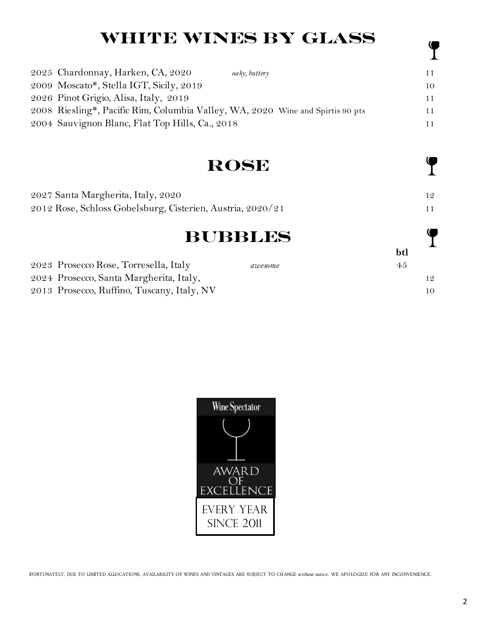# **WHITE WINES BY GLASS**

| 2025 Chardonnay, Harken, CA, 2020                                              | oaky, buttery | 11 |
|--------------------------------------------------------------------------------|---------------|----|
| 2009 Moscato*, Stella IGT, Sicily, 2019                                        |               | 10 |
| 2026 Pinot Grigio, Alisa, Italy, 2019                                          |               | 11 |
| 2008 Riesling*, Pacific Rim, Columbia Valley, WA, 2020 Wine and Spirtis 90 pts |               | 11 |
| 2004 Sauvignon Blanc, Flat Top Hills, Ca., 2018                                |               | 11 |

## **Rose**

| 2027 Santa Margherita, Italy, 2020                         |  |
|------------------------------------------------------------|--|
| 2012 Rose, Schloss Gobelsburg, Cisterien, Austria, 2020/21 |  |

## **BUBBLES**

**btl** 2023 Prosecco Rose, Torresella, Italy *awesome* 45 2024 Prosecco, Santa Margherita, Italy, 12 2013 Prosecco, Ruffino, Tuscany, Italy, NV 10



\*UNFORTUNATELY, DUE TO LIMITED ALLOCATIONS, AVAILABILITY OF WINES AND VINTAGES ARE SUBJECT TO CHANGE without notice. WE APOLOGIZE FOR ANY INCONVENIENCE.

 $\mathbf \P$ 

 $\mathbf \P$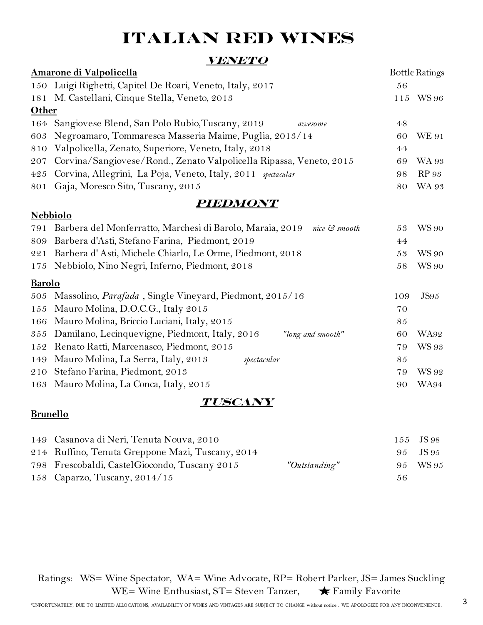# **ITALIAN RED WINES**

#### **Veneto**

| Amarone di Valpolicella |                                                                         |     | <b>Bottle Ratings</b> |
|-------------------------|-------------------------------------------------------------------------|-----|-----------------------|
|                         | 150 Luigi Righetti, Capitel De Roari, Veneto, Italy, 2017               | 56  |                       |
| 181                     | M. Castellani, Cinque Stella, Veneto, 2013                              | 115 | <b>WS 96</b>          |
| Other                   |                                                                         |     |                       |
| 164                     | Sangiovese Blend, San Polo Rubio, Tuscany, 2019<br>awesome              | 48  |                       |
| 603                     | Negroamaro, Tommaresca Masseria Maime, Puglia, 2013/14                  | 60  | <b>WE 91</b>          |
| 810                     | Valpolicella, Zenato, Superiore, Veneto, Italy, 2018                    | 44  |                       |
| 207                     | Corvina/Sangiovese/Rond., Zenato Valpolicella Ripassa, Veneto, 2015     | 69  | <b>WA 93</b>          |
| 425                     | Corvina, Allegrini, La Poja, Veneto, Italy, 2011 spectacular            | 98  | <b>RP</b> 93          |
| 801                     | Gaja, Moresco Sito, Tuscany, 2015                                       | 80  | <b>WA 93</b>          |
|                         | <i><b>PIEDMONT</b></i>                                                  |     |                       |
|                         | <b>Nebbiolo</b>                                                         |     |                       |
| 791                     | Barbera del Monferratto, Marchesi di Barolo, Maraia, 2019 nice & smooth | 53  | <b>WS 90</b>          |
| 809                     | Barbera d'Asti, Stefano Farina, Piedmont, 2019                          | 44  |                       |
| 221                     | Barbera d'Asti, Michele Chiarlo, Le Orme, Piedmont, 2018                | 53  | <b>WS 90</b>          |
| 175                     | Nebbiolo, Nino Negri, Inferno, Piedmont, 2018                           | 58  | <b>WS 90</b>          |
| <b>Barolo</b>           |                                                                         |     |                       |
| 505                     | Massolino, Parafada, Single Vineyard, Piedmont, 2015/16                 | 109 | <b>JS95</b>           |
| 155                     | Mauro Molina, D.O.C.G., Italy 2015                                      | 70  |                       |
| 166                     | Mauro Molina, Briccio Luciani, Italy, 2015                              | 85  |                       |
| 355                     | Damilano, Lecinquevigne, Piedmont, Italy, 2016<br>"long and smooth"     | 60  | <b>WA92</b>           |
| 152                     | Renato Ratti, Marcenasco, Piedmont, 2015                                | 79  | <b>WS 93</b>          |
| 149                     | Mauro Molina, La Serra, Italy, 2013<br>spectacular                      | 85  |                       |
| 210                     | Stefano Farina, Piedmont, 2013                                          | 79  | WS 92                 |
| 163                     | Mauro Molina, La Conca, Italy, 2015                                     | 90  | WA94                  |

### **Tuscany**

#### **Brunello**

| 149 Casanova di Neri, Tenuta Nouva, 2010         |               |     | 155 JS 98 |
|--------------------------------------------------|---------------|-----|-----------|
| 214 Ruffino, Tenuta Greppone Mazi, Tuscany, 2014 |               |     | 95 JS 95  |
| 798 Frescobaldi, Castel Giocondo, Tuscany 2015   | "Outstanding" |     | 95 WS95   |
| 158 Caparzo, Tuscany, $2014/15$                  |               | 56. |           |

 Ratings: WS= Wine Spectator, WA= Wine Advocate, RP= Robert Parker, JS= James Suckling WE= Wine Enthusiast, ST= Steven Tanzer,  $\bigstar$  Family Favorite

3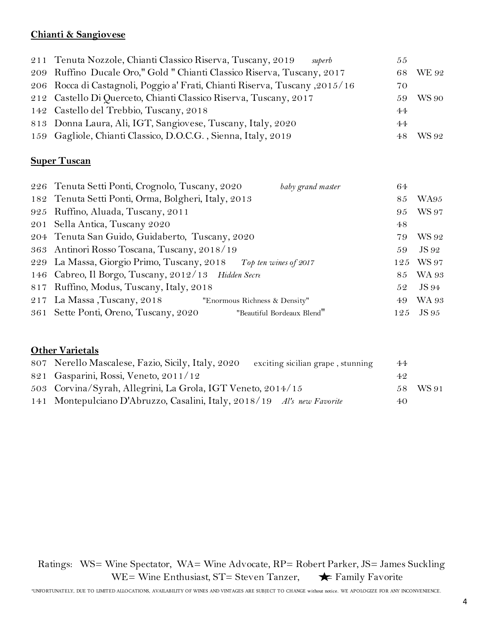### **Chianti & Sangiovese**

| 211 Tenuta Nozzole, Chianti Classico Riserva, Tuscany, 2019<br>superb        | 55  |              |
|------------------------------------------------------------------------------|-----|--------------|
| 209 Ruffino Ducale Oro," Gold "Chianti Classico Riserva, Tuscany, 2017       |     | 68 WE 92     |
| 2015/16, 2015 Rocca di Castagnoli, Poggio a' Frati, Chianti Riserva, Tuscany | 70  |              |
| 212 Castello Di Querceto, Chianti Classico Riserva, Tuscany, 2017            | 59. | <b>WS 90</b> |
| 142 Castello del Trebbio, Tuscany, 2018                                      | 44  |              |
| 813 Donna Laura, Ali, IGT, Sangiovese, Tuscany, Italy, 2020                  | 44  |              |
| 159 Gagliole, Chianti Classico, D.O.C.G., Sienna, Italy, 2019                |     | WS 92        |

#### **Super Tuscan**

| 226 Tenuta Setti Ponti, Crognolo, Tuscany, 2020                  | baby grand master          | 64  |              |
|------------------------------------------------------------------|----------------------------|-----|--------------|
| 182 Tenuta Setti Ponti, Orma, Bolgheri, Italy, 2013              |                            | 85  | WA95         |
| 925 Ruffino, Aluada, Tuscany, 2011                               |                            | 95  | <b>WS 97</b> |
| 201 Sella Antica, Tuscany 2020                                   |                            | 48  |              |
| 204 Tenuta San Guido, Guidaberto, Tuscany, 2020                  |                            | 79  | WS 92        |
| 363 Antinori Rosso Toscana, Tuscany, 2018/19                     |                            | 59  | JS 92        |
| 229 La Massa, Giorgio Primo, Tuscany, 2018 Top ten wines of 2017 |                            |     | 125 WS 97    |
| 146 Cabreo, Il Borgo, Tuscany, 2012/13 Hidden Secre              |                            |     | 85 WA 93     |
| 817 Ruffino, Modus, Tuscany, Italy, 2018                         |                            | 52  | JS 94        |
| 217 La Massa, Tuscany, 2018 "Enormous Richness & Density"        |                            | 49. | <b>WA 93</b> |
| 361 Sette Ponti, Oreno, Tuscany, 2020                            | "Beautiful Bordeaux Blend" | 125 | JS 95        |

#### **Other Varietals**

| 807 Nerello Mascalese, Fazio, Sicily, Italy, 2020<br>exciting sicilian grape, stunning | 44  |          |
|----------------------------------------------------------------------------------------|-----|----------|
| 821 Gasparini, Rossi, Veneto, 2011/12                                                  | 49. |          |
| 503 Corvina/Syrah, Allegrini, La Grola, IGT Veneto, 2014/15                            |     | 58 WS 91 |
| 141 Montepulciano D'Abruzzo, Casalini, Italy, 2018/19 Al's new Favorite                | 40. |          |

 Ratings: WS= Wine Spectator, WA= Wine Advocate, RP= Robert Parker, JS= James Suckling WE= Wine Enthusiast,  $ST =$  Steven Tanzer,  $\blacklozenge$  Family Favorite

\*UNFORTUNATELY, DUE TO LIMITED ALLOCATIONS, AVAILABILITY OF WINES AND VINTAGES ARE SUBJECT TO CHANGE without notice. WE APOLOGIZE FOR ANY INCONVENIENCE.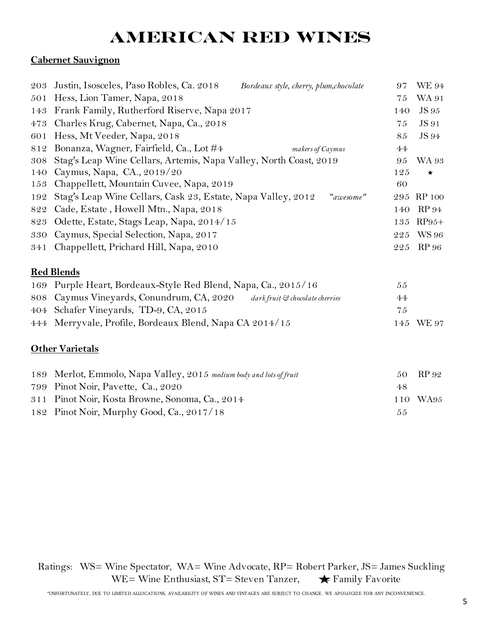# **AMERICAN RED WINES**

## **Cabernet Sauvignon**

| 203 | Justin, Isosceles, Paso Robles, Ca. 2018<br>Bordeaux style, cherry, plum, chocolate | 97  | <b>WE 94</b> |
|-----|-------------------------------------------------------------------------------------|-----|--------------|
| 501 | Hess, Lion Tamer, Napa, 2018                                                        | 75  | WA 91        |
| 143 | Frank Family, Rutherford Riserve, Napa 2017                                         | 140 | <b>JS</b> 95 |
| 473 | Charles Krug, Cabernet, Napa, Ca., 2018                                             | 75  | JS 91        |
| 601 | Hess, Mt Veeder, Napa, 2018                                                         | 85  | JS 94        |
| 812 | Bonanza, Wagner, Fairfield, Ca., Lot #4<br>makers of Caymus                         | 44  |              |
| 308 | Stag's Leap Wine Cellars, Artemis, Napa Valley, North Coast, 2019                   | 95  | WA 93        |
| 140 | Caymus, Napa, CA., 2019/20                                                          | 125 | $\star$      |
| 153 | Chappellett, Mountain Cuvee, Napa, 2019                                             | 60  |              |
| 192 | Stag's Leap Wine Cellars, Cask 23, Estate, Napa Valley, 2012<br>"awesome"           |     | 295 RP 100   |
| 822 | Cade, Estate, Howell Mtn., Napa, 2018                                               | 140 | <b>RP</b> 94 |
| 823 | Odette, Estate, Stags Leap, Napa, 2014/15                                           | 135 | $RP95+$      |
| 330 | Caymus, Special Selection, Napa, 2017                                               | 225 | <b>WS 96</b> |
| 341 | Chappellett, Prichard Hill, Napa, 2010                                              | 225 | <b>RP</b> 96 |
|     | <b>Red Blends</b>                                                                   |     |              |
| 169 | Purple Heart, Bordeaux-Style Red Blend, Napa, Ca., 2015/16                          | 55  |              |
| 808 | Caymus Vineyards, Conundrum, CA, 2020<br>dark fruit & chocolate cherries            | 44  |              |
| 404 | Schafer Vineyards, TD-9, CA, 2015                                                   | 75  |              |
| 444 | Merryvale, Profile, Bordeaux Blend, Napa CA 2014/15                                 | 145 | <b>WE 97</b> |
|     | <b>Other Varietals</b>                                                              |     |              |
| 189 | Merlot, Emmolo, Napa Valley, 2015 medium body and lots of fruit                     | 50  | RP 92        |
| 799 | Pinot Noir, Pavette, Ca., 2020                                                      | 48  |              |
| 311 | Pinot Noir, Kosta Browne, Sonoma, Ca., 2014                                         | 110 | WA95         |
| 182 | Pinot Noir, Murphy Good, Ca., 2017/18                                               | 55  |              |

 Ratings: WS= Wine Spectator, WA= Wine Advocate, RP= Robert Parker, JS= James Suckling WE= Wine Enthusiast, ST= Steven Tanzer,  $\bigstar$  Family Favorite

\*UNFORTUNATELY, DUE TO LIMITED ALLOCATIONS, AVAILABILITY OF WINES AND VINTAGES ARE SUBJECT TO CHANGE. WE APOLOGIZE FOR ANY INCONVENIENCE.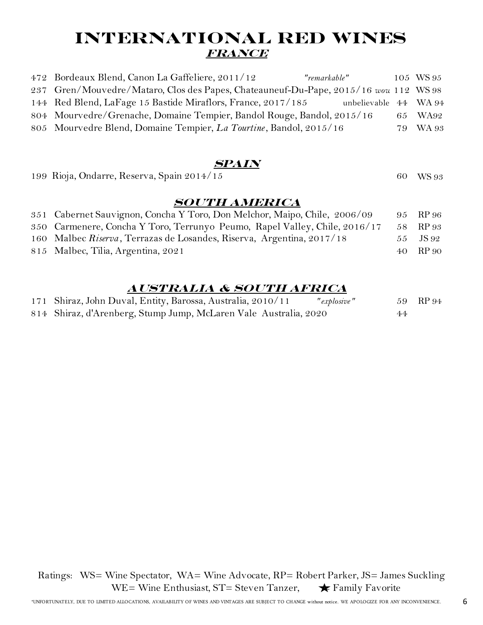## **INTERNATIONAL RED WINES France**

| 472 Bordeaux Blend, Canon La Gaffeliere, 2011/12<br>"remarkable"                      | 105 WS 95 |
|---------------------------------------------------------------------------------------|-----------|
| 237 Gren/Mouvedre/Mataro, Clos des Papes, Chateauneuf-Du-Pape, 2015/16 wou 112 WS 98  |           |
| 144 Red Blend, LaFage 15 Bastide Miraflors, France, 2017/185<br>unbelievable 44 WA 94 |           |
| 804 Mourvedre/Grenache, Domaine Tempier, Bandol Rouge, Bandol, 2015/16                | 65 WA92   |
| 805 Mourvedre Blend, Domaine Tempier, La Tourtine, Bandol, 2015/16                    | 79 WA 93  |

#### **SPAIn**

| 199 Rioja, Ondarre, Reserva, Spain 2014/15                                | 60 WS 93 |
|---------------------------------------------------------------------------|----------|
| <b>SOUTH AMERICA</b>                                                      |          |
| 351 Cabernet Sauvignon, Concha Y Toro, Don Melchor, Maipo, Chile, 2006/09 | 95 RP 96 |
| 250 Carmonara Canaba V Tara Tarrunya Pauma, Papal Valley Chile 2016/17    | $DD$ 0.0 |

| 350 Carmenere, Concha Y Toro, Terrunyo Peumo, Rapel Valley, Chile, 2016/17 | 58 RP 93 |
|----------------------------------------------------------------------------|----------|
| 160 Malbec Riserva, Terrazas de Losandes, Riserva, Argentina, 2017/18      | 55 JS 92 |
| 815 Malbec, Tilia, Argentina, 2021                                         | 40 RP 90 |

#### **Australia & South Africa**

| 171 Shiraz, John Duval, Entity, Barossa, Australia, 2010/11<br>"explosive" |    | 59 RP 94 |
|----------------------------------------------------------------------------|----|----------|
| 814 Shiraz, d'Arenberg, Stump Jump, McLaren Vale Australia, 2020           | 44 |          |

 Ratings: WS= Wine Spectator, WA= Wine Advocate, RP= Robert Parker, JS= James Suckling WE= Wine Enthusiast,  $ST =$  Steven Tanzer,  $\qquad \bigstar$  Family Favorite

6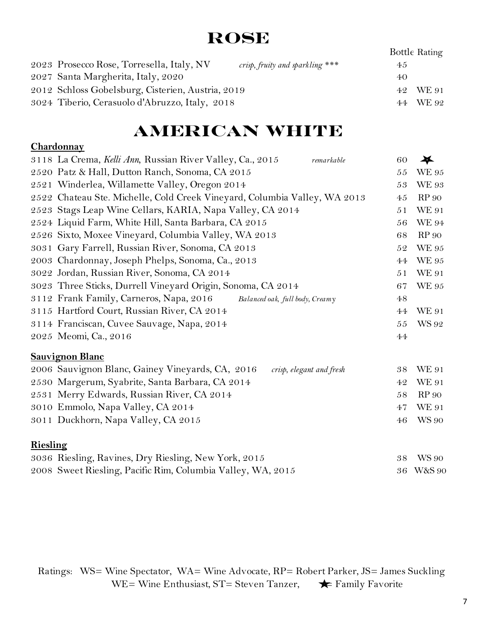# **Rose**

|                                                   |                                 |    | Bottle Rating |
|---------------------------------------------------|---------------------------------|----|---------------|
| 2023 Prosecco Rose, Torresella, Italy, NV         | crisp, fruity and sparkling *** | 45 |               |
| 2027 Santa Margherita, Italy, 2020                |                                 | 40 |               |
| 2012 Schloss Gobelsburg, Cisterien, Austria, 2019 |                                 |    | 42 WE 91      |
| 3024 Tiberio, Cerasuolo d'Abruzzo, Italy, 2018    |                                 |    | 44 WE 92      |

# **American WHITE**

#### **Chardonnay**

|          | 3118 La Crema, Kelli Ann, Russian River Valley, Ca., 2015<br>remarkable      | 60 | $\bigstar$        |
|----------|------------------------------------------------------------------------------|----|-------------------|
|          | 2520 Patz & Hall, Dutton Ranch, Sonoma, CA 2015                              | 55 | <b>WE 95</b>      |
|          | 2521 Winderlea, Willamette Valley, Oregon 2014                               | 53 | <b>WE 93</b>      |
|          | 2522 Chateau Ste. Michelle, Cold Creek Vineyard, Columbia Valley, WA 2013    | 45 | <b>RP</b> 90      |
|          | 2523 Stags Leap Wine Cellars, KARIA, Napa Valley, CA 2014                    | 51 | <b>WE 91</b>      |
|          | 2524 Liquid Farm, White Hill, Santa Barbara, CA 2015                         | 56 | <b>WE 94</b>      |
|          | 2526 Sixto, Moxee Vineyard, Columbia Valley, WA 2013                         | 68 | <b>RP</b> 90      |
|          | 3031 Gary Farrell, Russian River, Sonoma, CA 2013                            | 52 | <b>WE 95</b>      |
|          | 2003 Chardonnay, Joseph Phelps, Sonoma, Ca., 2013                            | 44 | <b>WE 95</b>      |
|          | 3022 Jordan, Russian River, Sonoma, CA 2014                                  | 51 | <b>WE 91</b>      |
|          | 3023 Three Sticks, Durrell Vineyard Origin, Sonoma, CA 2014                  | 67 | <b>WE 95</b>      |
|          | 3112 Frank Family, Carneros, Napa, 2016<br>Balanced oak, full body, Creamy   | 48 |                   |
|          | 3115 Hartford Court, Russian River, CA 2014                                  | 44 | <b>WE 91</b>      |
|          | 3114 Franciscan, Cuvee Sauvage, Napa, 2014                                   | 55 | WS 92             |
|          | 2025 Meomi, Ca., 2016                                                        | 44 |                   |
|          | <b>Sauvignon Blanc</b>                                                       |    |                   |
|          | 2006 Sauvignon Blanc, Gainey Vineyards, CA, 2016<br>crisp, elegant and fresh | 38 | <b>WE 91</b>      |
|          | 2530 Margerum, Syabrite, Santa Barbara, CA 2014                              | 42 | <b>WE 91</b>      |
|          | 2531 Merry Edwards, Russian River, CA 2014                                   | 58 | <b>RP</b> 90      |
|          | 3010 Emmolo, Napa Valley, CA 2014                                            | 47 | <b>WE 91</b>      |
|          | 3011 Duckhorn, Napa Valley, CA 2015                                          | 46 | <b>WS 90</b>      |
| Riesling |                                                                              |    |                   |
|          | 3036 Riesling, Ravines, Dry Riesling, New York, 2015                         | 38 | WS 90             |
|          | 2008 Sweet Riesling, Pacific Rim, Columbia Valley, WA, 2015                  | 36 | <b>W&amp;S 90</b> |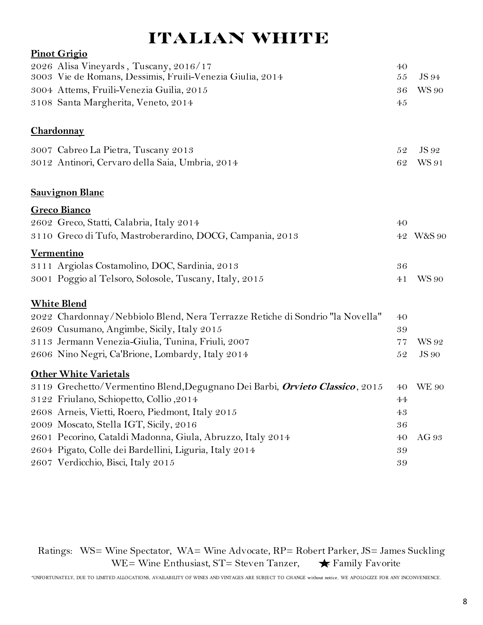# **Italian White**

| <b>Pinot Grigio</b>                                                                  |             |                   |
|--------------------------------------------------------------------------------------|-------------|-------------------|
| 2026 Alisa Vineyards, Tuscany, 2016/17                                               | 40          |                   |
| 3003 Vie de Romans, Dessimis, Fruili-Venezia Giulia, 2014                            | 55          | JS 94             |
| 3004 Attems, Fruili-Venezia Guilia, 2015                                             | 36          | <b>WS 90</b>      |
| 3108 Santa Margherita, Veneto, 2014                                                  | 45          |                   |
| Chardonnay                                                                           |             |                   |
| 3007 Cabreo La Pietra, Tuscany 2013                                                  | 52          | JS 92             |
| 3012 Antinori, Cervaro della Saia, Umbria, 2014                                      | 62          | WS 91             |
| <b>Sauvignon Blanc</b>                                                               |             |                   |
| <b>Greco Bianco</b>                                                                  |             |                   |
| 2602 Greco, Statti, Calabria, Italy 2014                                             | 40          |                   |
| 3110 Greco di Tufo, Mastroberardino, DOCG, Campania, 2013                            | $4\sqrt{2}$ | <b>W&amp;S 90</b> |
| <b>Vermentino</b>                                                                    |             |                   |
| 3111 Argiolas Costamolino, DOC, Sardinia, 2013                                       | 36          |                   |
| 3001 Poggio al Telsoro, Solosole, Tuscany, Italy, 2015                               | 41          | <b>WS 90</b>      |
| <b>White Blend</b>                                                                   |             |                   |
| 2022 Chardonnay/Nebbiolo Blend, Nera Terrazze Retiche di Sondrio "la Novella"        | 40          |                   |
| 2609 Cusumano, Angimbe, Sicily, Italy 2015                                           | 39          |                   |
| 3113 Jermann Venezia-Giulia, Tunina, Friuli, 2007                                    | 77          | WS 92             |
| 2606 Nino Negri, Ca'Brione, Lombardy, Italy 2014                                     | 52          | <b>JS</b> 90      |
| <b>Other White Varietals</b>                                                         |             |                   |
| 3119 Grechetto/Vermentino Blend, Degugnano Dei Barbi, <i>Orvieto Classico</i> , 2015 | 40          | <b>WE 90</b>      |
| 3122 Friulano, Schiopetto, Collio, 2014                                              | 44          |                   |
| 2608 Arneis, Vietti, Roero, Piedmont, Italy 2015                                     | 43          |                   |
| 2009 Moscato, Stella IGT, Sicily, 2016                                               | 36          |                   |
| 2601 Pecorino, Cataldi Madonna, Giula, Abruzzo, Italy 2014                           | 40          | AG 93             |
| 2604 Pigato, Colle dei Bardellini, Liguria, Italy 2014                               | 39          |                   |
| 2607 Verdicchio, Bisci, Italy 2015                                                   | 39          |                   |

 Ratings: WS= Wine Spectator, WA= Wine Advocate, RP= Robert Parker, JS= James Suckling WE= Wine Enthusiast, ST= Steven Tanzer,  $\bigstar$  Family Favorite

\*UNFORTUNATELY, DUE TO LIMITED ALLOCATIONS, AVAILABILITY OF WINES AND VINTAGES ARE SUBJECT TO CHANGE without notice. WE APOLOGIZE FOR ANY INCONVENIENCE.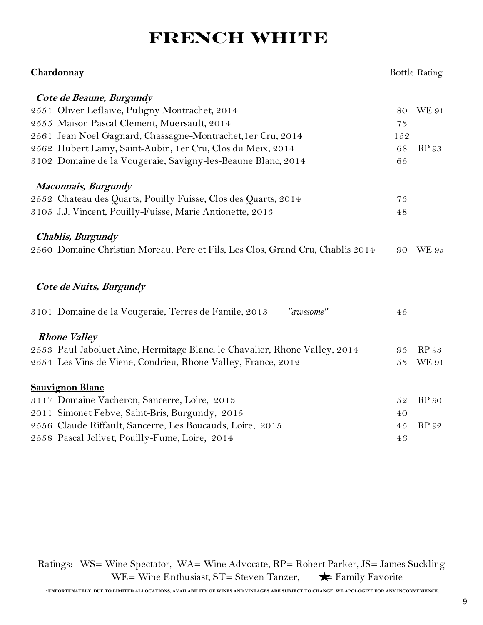# **French white**

| Chardonnay                                                                     |        | <b>Bottle Rating</b> |
|--------------------------------------------------------------------------------|--------|----------------------|
| Cote de Beaune, Burgundy                                                       |        |                      |
| 2551 Oliver Leflaive, Puligny Montrachet, 2014                                 | 80     | <b>WE 91</b>         |
| 2555 Maison Pascal Clement, Muersault, 2014                                    | 73     |                      |
| 2561 Jean Noel Gagnard, Chassagne-Montrachet, 1 er Cru, 2014                   | 152    |                      |
| 2562 Hubert Lamy, Saint-Aubin, 1er Cru, Clos du Meix, 2014                     | 68     | <b>RP</b> 93         |
| 3102 Domaine de la Vougeraie, Savigny-les-Beaune Blanc, 2014                   | 65     |                      |
| Maconnais, Burgundy                                                            |        |                      |
| 2552 Chateau des Quarts, Pouilly Fuisse, Clos des Quarts, 2014                 | 73     |                      |
| 3105 J.J. Vincent, Pouilly-Fuisse, Marie Antionette, 2013                      | $4\,8$ |                      |
| <b>Chablis, Burgundy</b>                                                       |        |                      |
| 2560 Domaine Christian Moreau, Pere et Fils, Les Clos, Grand Cru, Chablis 2014 | 90     | <b>WE 95</b>         |
| Cote de Nuits, Burgundy                                                        |        |                      |
| "awesome"<br>3101 Domaine de la Vougeraie, Terres de Famile, 2013              | 45     |                      |
| <b>Rhone Valley</b>                                                            |        |                      |
| 2553 Paul Jaboluet Aine, Hermitage Blanc, le Chavalier, Rhone Valley, 2014     | 93     | <b>RP</b> 93         |
| 2554 Les Vins de Viene, Condrieu, Rhone Valley, France, 2012                   | 53     | <b>WE 91</b>         |
| <b>Sauvignon Blanc</b>                                                         |        |                      |
| 3117 Domaine Vacheron, Sancerre, Loire, 2013                                   | 52     | <b>RP</b> 90         |
| 2011 Simonet Febve, Saint-Bris, Burgundy, 2015                                 | 40     |                      |
| 2556 Claude Riffault, Sancerre, Les Boucauds, Loire, 2015                      | 45     | RP 92                |
| 2558 Pascal Jolivet, Pouilly-Fume, Loire, 2014                                 | 46     |                      |

 Ratings: WS= Wine Spectator, WA= Wine Advocate, RP= Robert Parker, JS= James Suckling WE= Wine Enthusiast,  $ST =$  Steven Tanzer,  $\blacklozenge$  Family Favorite

 **\*UNFORTUNATELY, DUE TO LIMITED ALLOCATIONS, AVAILABILITY OF WINES AND VINTAGES ARE SUBJECT TO CHANGE. WE APOLOGIZE FOR ANY INCONVENIENCE.**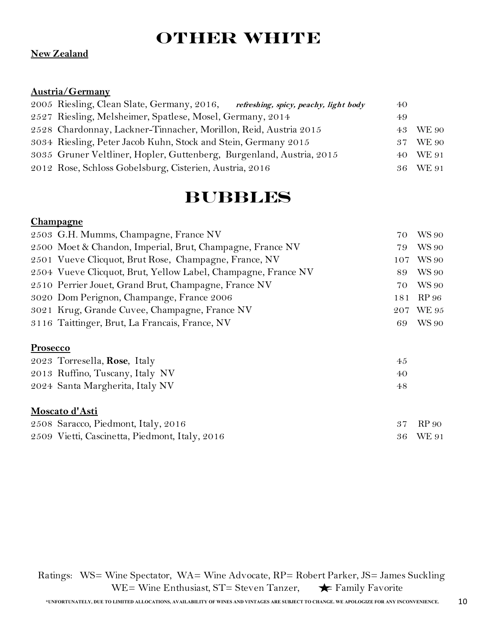# **Other White**

#### **New Zealand**

#### **Austria/Germany**

| 2005 Riesling, Clean Slate, Germany, 2016, refreshing, spicy, peachy, light body | 40 |          |
|----------------------------------------------------------------------------------|----|----------|
| 2527 Riesling, Melsheimer, Spatlese, Mosel, Germany, 2014                        | 49 |          |
| 2528 Chardonnay, Lackner-Tinnacher, Morillon, Reid, Austria 2015                 |    | 43 WE 90 |
| 3034 Riesling, Peter Jacob Kuhn, Stock and Stein, Germany 2015                   |    | 37 WE 90 |
| 3035 Gruner Veltliner, Hopler, Guttenberg, Burgenland, Austria, 2015             |    | 40 WE 91 |
| 2012 Rose, Schloss Gobelsburg, Cisterien, Austria, 2016                          |    | 36 WE 91 |

# **Bubbles**

#### **Champagne**

| 2503 G.H. Mumms, Champagne, France NV                         | 70. | <b>WS 90</b> |
|---------------------------------------------------------------|-----|--------------|
| 2500 Moet & Chandon, Imperial, Brut, Champagne, France NV     | 79  | <b>WS 90</b> |
| 2501 Vueve Clicquot, Brut Rose, Champagne, France, NV         |     | 107 WS 90    |
| 2504 Vueve Clicquot, Brut, Yellow Label, Champagne, France NV | 89  | <b>WS 90</b> |
| 2510 Perrier Jouet, Grand Brut, Champagne, France NV          | 70  | <b>WS 90</b> |
| 3020 Dom Perignon, Champange, France 2006                     | 181 | RP 96        |
| 3021 Krug, Grande Cuvee, Champagne, France NV                 |     | 207 WE 95    |
| 3116 Taittinger, Brut, La Francais, France, NV                | 69  | WS 90        |
|                                                               |     |              |

#### **Prosecco**

| 2023 Torresella, Rose, Italy    | 45 |
|---------------------------------|----|
| 2013 Ruffino, Tuscany, Italy NV | 40 |
| 2024 Santa Margherita, Italy NV | 48 |

#### **Moscato d'Asti**

| 2508 Saracco, Piedmont, Italy, 2016            | 37 RP 90 |
|------------------------------------------------|----------|
| 2509 Vietti, Cascinetta, Piedmont, Italy, 2016 | 36 WE 91 |

 Ratings: WS= Wine Spectator, WA= Wine Advocate, RP= Robert Parker, JS= James Suckling WE= Wine Enthusiast,  $ST =$  Steven Tanzer,  $\blacktriangleright$  Family Favorite